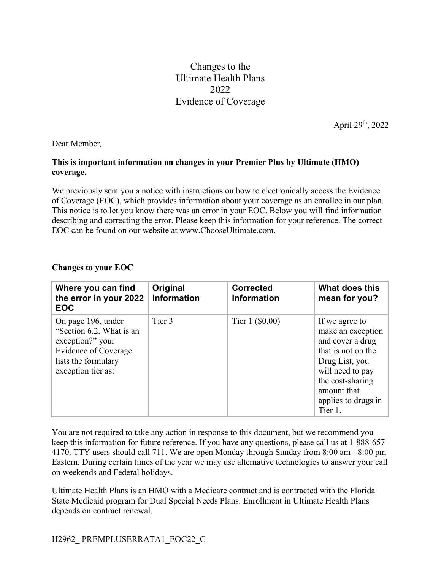Changes to the Ultimate Health Plans 2022 Evidence of Coverage

April 29th, 2022

Dear Member*,*

## **This is important information on changes in your Premier Plus by Ultimate (HMO) coverage.**

We previously sent you a notice with instructions on how to electronically access the Evidence of Coverage (EOC), which provides information about your coverage as an enrollee in our plan. This notice is to let you know there was an error in your EOC. Below you will find information describing and correcting the error. Please keep this information for your reference. The correct EOC can be found on our website at www.ChooseUltimate.com.

## **Changes to your EOC**

| Where you can find<br>the error in your 2022<br><b>EOC</b>                                                                                     | Original<br><b>Information</b> | <b>Corrected</b><br><b>Information</b> | What does this<br>mean for you?                                                                                                                                                          |
|------------------------------------------------------------------------------------------------------------------------------------------------|--------------------------------|----------------------------------------|------------------------------------------------------------------------------------------------------------------------------------------------------------------------------------------|
| On page 196, under<br>"Section 6.2. What is an<br>exception?" your<br><b>Evidence of Coverage</b><br>lists the formulary<br>exception tier as: | Tier 3                         | Tier $1$ (\$0.00)                      | If we agree to<br>make an exception<br>and cover a drug<br>that is not on the<br>Drug List, you<br>will need to pay<br>the cost-sharing<br>amount that<br>applies to drugs in<br>Tier 1. |

You are not required to take any action in response to this document, but we recommend you keep this information for future reference. If you have any questions, please call us at 1-888-657- 4170. TTY users should call 711. We are open Monday through Sunday from 8:00 am - 8:00 pm Eastern. During certain times of the year we may use alternative technologies to answer your call on weekends and Federal holidays.

Ultimate Health Plans is an HMO with a Medicare contract and is contracted with the Florida State Medicaid program for Dual Special Needs Plans. Enrollment in Ultimate Health Plans depends on contract renewal.